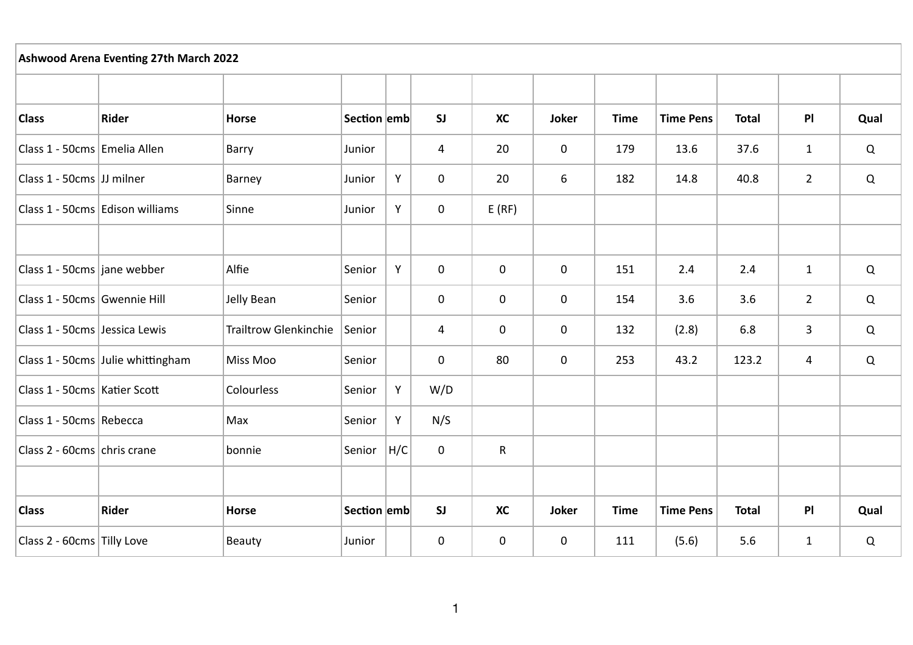| <b>Ashwood Arena Eventing 27th March 2022</b> |                                   |                              |             |     |             |             |             |             |                  |              |                |             |
|-----------------------------------------------|-----------------------------------|------------------------------|-------------|-----|-------------|-------------|-------------|-------------|------------------|--------------|----------------|-------------|
|                                               |                                   |                              |             |     |             |             |             |             |                  |              |                |             |
| <b>Class</b>                                  | Rider                             | <b>Horse</b>                 | Section emb |     | SI          | <b>XC</b>   | Joker       | <b>Time</b> | <b>Time Pens</b> | <b>Total</b> | P              | Qual        |
| Class 1 - 50cms Emelia Allen                  |                                   | Barry                        | Junior      |     | 4           | 20          | 0           | 179         | 13.6             | 37.6         | $\mathbf{1}$   | Q           |
| Class 1 - 50cms JJ milner                     |                                   | Barney                       | Junior      | Υ   | $\mathsf 0$ | 20          | 6           | 182         | 14.8             | 40.8         | $\overline{2}$ | $\mathsf Q$ |
|                                               | Class 1 - 50cms Edison williams   | Sinne                        | Junior      | Y   | $\mathbf 0$ | E(RF)       |             |             |                  |              |                |             |
|                                               |                                   |                              |             |     |             |             |             |             |                  |              |                |             |
| Class 1 - 50cms jane webber                   |                                   | Alfie                        | Senior      | Y   | 0           | $\mathbf 0$ | 0           | 151         | 2.4              | 2.4          | $\mathbf{1}$   | Q           |
| Class 1 - 50cms Gwennie Hill                  |                                   | Jelly Bean                   | Senior      |     | $\mathbf 0$ | $\mathbf 0$ | $\mathbf 0$ | 154         | 3.6              | 3.6          | $\overline{2}$ | Q           |
| Class 1 - 50cms Jessica Lewis                 |                                   | <b>Trailtrow Glenkinchie</b> | Senior      |     | 4           | $\mathbf 0$ | $\mathbf 0$ | 132         | (2.8)            | 6.8          | 3              | Q           |
|                                               | Class 1 - 50cms Julie whittingham | Miss Moo                     | Senior      |     | $\mathbf 0$ | 80          | $\mathbf 0$ | 253         | 43.2             | 123.2        | 4              | Q           |
| Class 1 - 50cms Katier Scott                  |                                   | Colourless                   | Senior      | Y   | W/D         |             |             |             |                  |              |                |             |
| Class 1 - 50cms Rebecca                       |                                   | Max                          | Senior      | Υ   | N/S         |             |             |             |                  |              |                |             |
| Class 2 - 60cms chris crane                   |                                   | bonnie                       | Senior      | H/C | 0           | R           |             |             |                  |              |                |             |
|                                               |                                   |                              |             |     |             |             |             |             |                  |              |                |             |
| <b>Class</b>                                  | Rider                             | Horse                        | Section emb |     | <b>SJ</b>   | <b>XC</b>   | Joker       | <b>Time</b> | <b>Time Pens</b> | <b>Total</b> | P              | Qual        |
| Class 2 - 60cms Tilly Love                    |                                   | Beauty                       | Junior      |     | 0           | $\mathbf 0$ | 0           | 111         | (5.6)            | 5.6          | $\mathbf{1}$   | Q           |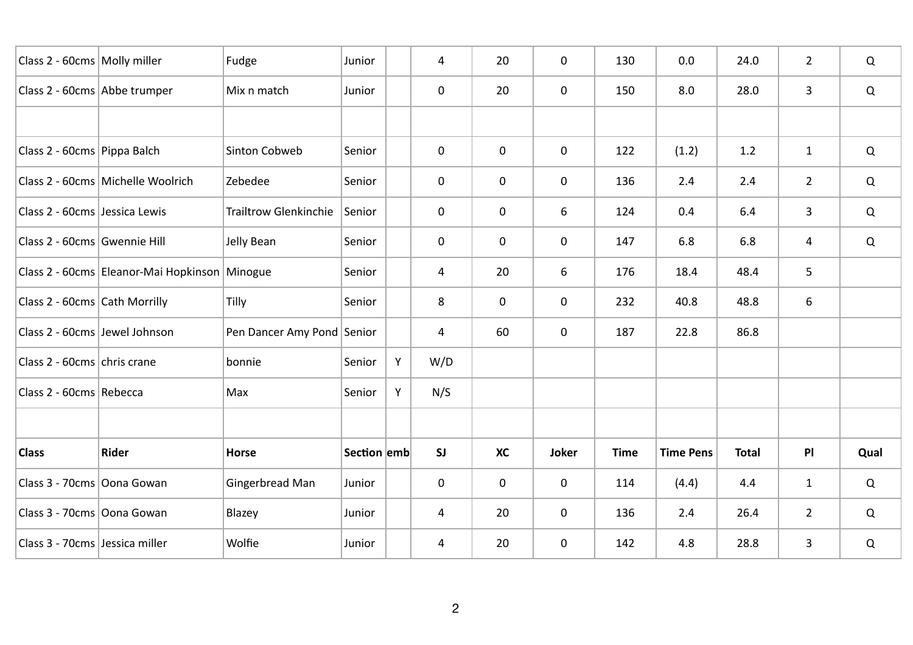| Class 2 - 60cms Molly miller   |                                               | Fudge                        | Junior      |   | 4              | 20        | 0           | 130         | 0.0              | 24.0         | $\overline{2}$ | Q           |
|--------------------------------|-----------------------------------------------|------------------------------|-------------|---|----------------|-----------|-------------|-------------|------------------|--------------|----------------|-------------|
| Class 2 - 60cms Abbe trumper   |                                               | Mix n match                  | Junior      |   | 0              | 20        | 0           | 150         | 8.0              | 28.0         | 3              | Q           |
|                                |                                               |                              |             |   |                |           |             |             |                  |              |                |             |
| Class 2 - 60cms Pippa Balch    |                                               | Sinton Cobweb                | Senior      |   | $\mathbf 0$    | 0         | $\mathbf 0$ | 122         | (1.2)            | 1.2          | $\mathbf{1}$   | Q           |
|                                | Class 2 - 60cms Michelle Woolrich             | Zebedee                      | Senior      |   | $\mathbf 0$    | 0         | 0           | 136         | 2.4              | 2.4          | $\overline{2}$ | Q           |
| Class 2 - 60cms Jessica Lewis  |                                               | <b>Trailtrow Glenkinchie</b> | Senior      |   | 0              | 0         | 6           | 124         | 0.4              | 6.4          | 3              | Q           |
| Class 2 - 60cms Gwennie Hill   |                                               | Jelly Bean                   | Senior      |   | 0              | 0         | 0           | 147         | 6.8              | 6.8          | $\overline{a}$ | Q           |
|                                | Class 2 - 60cms Eleanor-Mai Hopkinson Minogue |                              | Senior      |   | $\overline{4}$ | 20        | 6           | 176         | 18.4             | 48.4         | 5              |             |
| Class 2 - 60cms Cath Morrilly  |                                               | Tilly                        | Senior      |   | 8              | 0         | $\mathbf 0$ | 232         | 40.8             | 48.8         | 6              |             |
| Class 2 - 60cms Jewel Johnson  |                                               | Pen Dancer Amy Pond Senior   |             |   | 4              | 60        | 0           | 187         | 22.8             | 86.8         |                |             |
| Class 2 - 60cms chris crane    |                                               | bonnie                       | Senior      | Υ | W/D            |           |             |             |                  |              |                |             |
| Class 2 - 60cms Rebecca        |                                               | Max                          | Senior      | Y | N/S            |           |             |             |                  |              |                |             |
|                                |                                               |                              |             |   |                |           |             |             |                  |              |                |             |
| <b>Class</b>                   | Rider                                         | <b>Horse</b>                 | Section emb |   | SI             | <b>XC</b> | Joker       | <b>Time</b> | <b>Time Pens</b> | <b>Total</b> | P <sub>1</sub> | Qual        |
| Class 3 - 70cms Oona Gowan     |                                               | Gingerbread Man              | Junior      |   | $\mathbf 0$    | 0         | 0           | 114         | (4.4)            | 4.4          | $\mathbf{1}$   | $\mathsf Q$ |
| Class 3 - 70cms Oona Gowan     |                                               | Blazey                       | Junior      |   | 4              | 20        | 0           | 136         | 2.4              | 26.4         | $\overline{2}$ | Q           |
| Class 3 - 70cms Jessica miller |                                               | Wolfie                       | Junior      |   | 4              | 20        | 0           | 142         | 4.8              | 28.8         | 3              | Q           |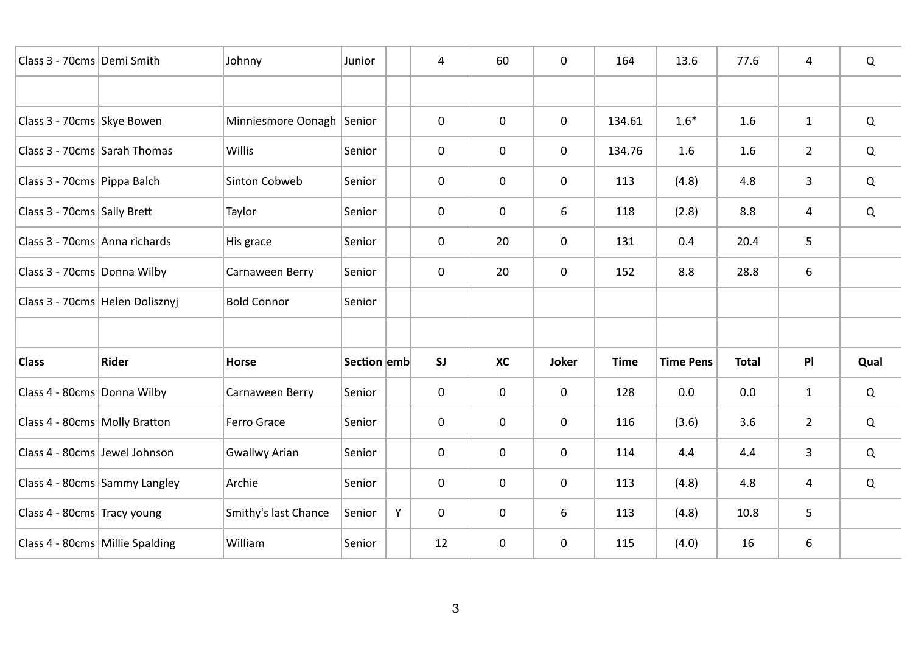| Class 3 - 70cms Demi Smith      |                                 | Johnny                    | Junior      |   | 4           | 60        | 0           | 164         | 13.6             | 77.6         | 4              | Q    |
|---------------------------------|---------------------------------|---------------------------|-------------|---|-------------|-----------|-------------|-------------|------------------|--------------|----------------|------|
|                                 |                                 |                           |             |   |             |           |             |             |                  |              |                |      |
| Class 3 - 70cms Skye Bowen      |                                 | Minniesmore Oonagh Senior |             |   | $\mathbf 0$ | 0         | 0           | 134.61      | $1.6*$           | 1.6          | $\mathbf{1}$   | Q    |
| Class 3 - 70cms Sarah Thomas    |                                 | <b>Willis</b>             | Senior      |   | $\mathbf 0$ | 0         | $\mathbf 0$ | 134.76      | 1.6              | 1.6          | $2^{\circ}$    | Q    |
| Class 3 - 70cms Pippa Balch     |                                 | Sinton Cobweb             | Senior      |   | $\mathbf 0$ | 0         | 0           | 113         | (4.8)            | 4.8          | 3              | Q    |
| Class 3 - 70cms Sally Brett     |                                 | Taylor                    | Senior      |   | $\mathbf 0$ | 0         | 6           | 118         | (2.8)            | 8.8          | $\overline{a}$ | Q    |
| Class 3 - 70cms Anna richards   |                                 | His grace                 | Senior      |   | 0           | 20        | 0           | 131         | 0.4              | 20.4         | 5              |      |
| Class 3 - 70cms Donna Wilby     |                                 | Carnaween Berry           | Senior      |   | $\mathbf 0$ | 20        | $\mathbf 0$ | 152         | 8.8              | 28.8         | 6              |      |
|                                 | Class 3 - 70cms Helen Dolisznyj | <b>Bold Connor</b>        | Senior      |   |             |           |             |             |                  |              |                |      |
|                                 |                                 |                           |             |   |             |           |             |             |                  |              |                |      |
| <b>Class</b>                    | Rider                           | <b>Horse</b>              | Section emb |   | SI          | <b>XC</b> | Joker       | <b>Time</b> | <b>Time Pens</b> | <b>Total</b> | P              | Qual |
| Class 4 - 80cms Donna Wilby     |                                 | Carnaween Berry           | Senior      |   | 0           | 0         | 0           | 128         | 0.0              | 0.0          | $\mathbf{1}$   | Q    |
| Class 4 - 80cms Molly Bratton   |                                 | Ferro Grace               | Senior      |   | $\mathbf 0$ | 0         | $\mathbf 0$ | 116         | (3.6)            | 3.6          | $\overline{2}$ | Q    |
| Class 4 - 80cms Jewel Johnson   |                                 | <b>Gwallwy Arian</b>      | Senior      |   | $\mathbf 0$ | 0         | 0           | 114         | 4.4              | 4.4          | 3              | Q    |
|                                 | Class 4 - 80cms Sammy Langley   | Archie                    | Senior      |   | $\mathbf 0$ | 0         | 0           | 113         | (4.8)            | 4.8          | 4              | Q    |
| Class 4 - 80cms Tracy young     |                                 | Smithy's last Chance      | Senior      | Y | $\mathbf 0$ | 0         | 6           | 113         | (4.8)            | 10.8         | 5              |      |
| Class 4 - 80cms Millie Spalding |                                 | William                   | Senior      |   | 12          | 0         | 0           | 115         | (4.0)            | 16           | 6              |      |